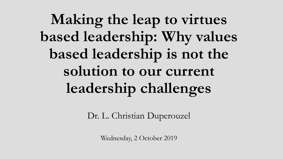**Making the leap to virtues based leadership: Why values based leadership is not the solution to our current leadership challenges**

Dr. L. Christian Duperouzel

Wednesday, 2 October 2019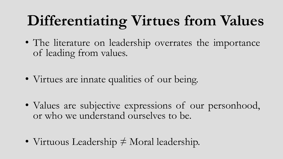## **Differentiating Virtues from Values**

- The literature on leadership overrates the importance of leading from values.
- Virtues are innate qualities of our being.
- Values are subjective expressions of our personhood, or who we understand ourselves to be.
- Virtuous Leadership ≠ Moral leadership.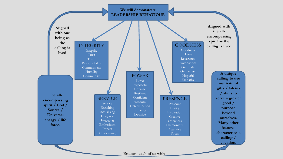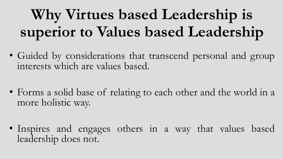## **Why Virtues based Leadership is superior to Values based Leadership**

- Guided by considerations that transcend personal and group interests which are values based.
- Forms a solid base of relating to each other and the world in a more holistic way.
- Inspires and engages others in a way that values based leadership does not.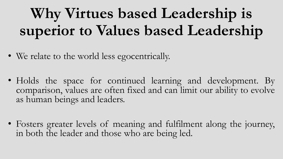## **Why Virtues based Leadership is superior to Values based Leadership**

- We relate to the world less egocentrically.
- Holds the space for continued learning and development. By comparison, values are often fixed and can limit our ability to evolve as human beings and leaders.
- Fosters greater levels of meaning and fulfilment along the journey, in both the leader and those who are being led.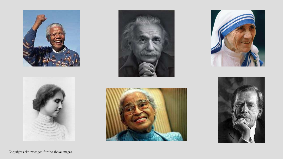











Copyright acknowledged for the above images.